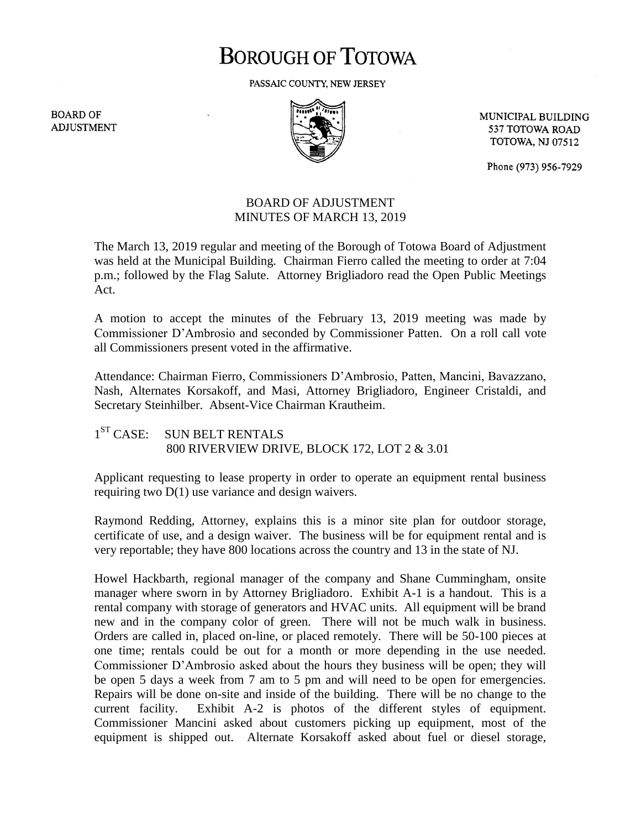# **BOROUGH OF TOTOWA**

PASSAIC COUNTY, NEW JERSEY

**BOARD OF ADJUSTMENT** 



MUNICIPAL BUILDING 537 TOTOWA ROAD **TOTOWA, NJ 07512** 

Phone (973) 956-7929

## BOARD OF ADJUSTMENT MINUTES OF MARCH 13, 2019

The March 13, 2019 regular and meeting of the Borough of Totowa Board of Adjustment was held at the Municipal Building. Chairman Fierro called the meeting to order at 7:04 p.m.; followed by the Flag Salute. Attorney Brigliadoro read the Open Public Meetings Act.

A motion to accept the minutes of the February 13, 2019 meeting was made by Commissioner D'Ambrosio and seconded by Commissioner Patten. On a roll call vote all Commissioners present voted in the affirmative.

Attendance: Chairman Fierro, Commissioners D'Ambrosio, Patten, Mancini, Bavazzano, Nash, Alternates Korsakoff, and Masi, Attorney Brigliadoro, Engineer Cristaldi, and Secretary Steinhilber. Absent-Vice Chairman Krautheim.

#### $1^{ST}$  CASE: SUN BELT RENTALS 800 RIVERVIEW DRIVE, BLOCK 172, LOT 2 & 3.01

Applicant requesting to lease property in order to operate an equipment rental business requiring two D(1) use variance and design waivers.

Raymond Redding, Attorney, explains this is a minor site plan for outdoor storage, certificate of use, and a design waiver. The business will be for equipment rental and is very reportable; they have 800 locations across the country and 13 in the state of NJ.

Howel Hackbarth, regional manager of the company and Shane Cummingham, onsite manager where sworn in by Attorney Brigliadoro. Exhibit A-1 is a handout. This is a rental company with storage of generators and HVAC units. All equipment will be brand new and in the company color of green. There will not be much walk in business. Orders are called in, placed on-line, or placed remotely. There will be 50-100 pieces at one time; rentals could be out for a month or more depending in the use needed. Commissioner D'Ambrosio asked about the hours they business will be open; they will be open 5 days a week from 7 am to 5 pm and will need to be open for emergencies. Repairs will be done on-site and inside of the building. There will be no change to the current facility. Exhibit A-2 is photos of the different styles of equipment. Commissioner Mancini asked about customers picking up equipment, most of the equipment is shipped out. Alternate Korsakoff asked about fuel or diesel storage,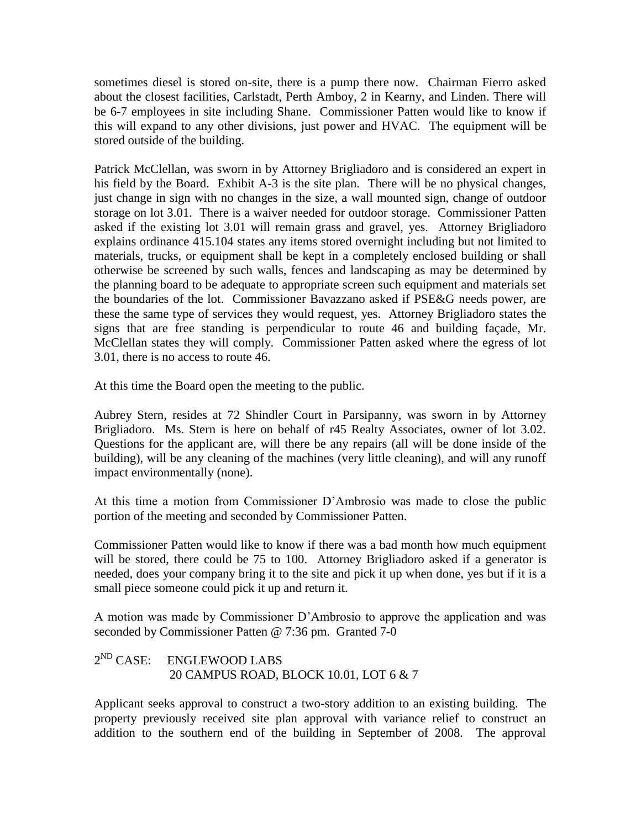sometimes diesel is stored on-site, there is a pump there now. Chairman Fierro asked about the closest facilities, Carlstadt, Perth Amboy, 2 in Kearny, and Linden. There will be 6-7 employees in site including Shane. Commissioner Patten would like to know if this will expand to any other divisions, just power and HVAC. The equipment will be stored outside of the building.

Patrick McClellan, was sworn in by Attorney Brigliadoro and is considered an expert in his field by the Board. Exhibit A-3 is the site plan. There will be no physical changes, just change in sign with no changes in the size, a wall mounted sign, change of outdoor storage on lot 3.01. There is a waiver needed for outdoor storage. Commissioner Patten asked if the existing lot 3.01 will remain grass and gravel, yes. Attorney Brigliadoro explains ordinance 415.104 states any items stored overnight including but not limited to materials, trucks, or equipment shall be kept in a completely enclosed building or shall otherwise be screened by such walls, fences and landscaping as may be determined by the planning board to be adequate to appropriate screen such equipment and materials set the boundaries of the lot. Commissioner Bavazzano asked if PSE&G needs power, are these the same type of services they would request, yes. Attorney Brigliadoro states the signs that are free standing is perpendicular to route 46 and building façade, Mr. McClellan states they will comply. Commissioner Patten asked where the egress of lot 3.01, there is no access to route 46.

At this time the Board open the meeting to the public.

Aubrey Stern, resides at 72 Shindler Court in Parsipanny, was sworn in by Attorney Brigliadoro. Ms. Stern is here on behalf of r45 Realty Associates, owner of lot 3.02. Questions for the applicant are, will there be any repairs (all will be done inside of the building), will be any cleaning of the machines (very little cleaning), and will any runoff impact environmentally (none).

At this time a motion from Commissioner D'Ambrosio was made to close the public portion of the meeting and seconded by Commissioner Patten.

Commissioner Patten would like to know if there was a bad month how much equipment will be stored, there could be 75 to 100. Attorney Brigliadoro asked if a generator is needed, does your company bring it to the site and pick it up when done, yes but if it is a small piece someone could pick it up and return it.

A motion was made by Commissioner D'Ambrosio to approve the application and was seconded by Commissioner Patten @ 7:36 pm. Granted 7-0

#### $2^{ND}$  CASE: ENGLEWOOD LABS 20 CAMPUS ROAD, BLOCK 10.01, LOT 6 & 7

Applicant seeks approval to construct a two-story addition to an existing building. The property previously received site plan approval with variance relief to construct an addition to the southern end of the building in September of 2008. The approval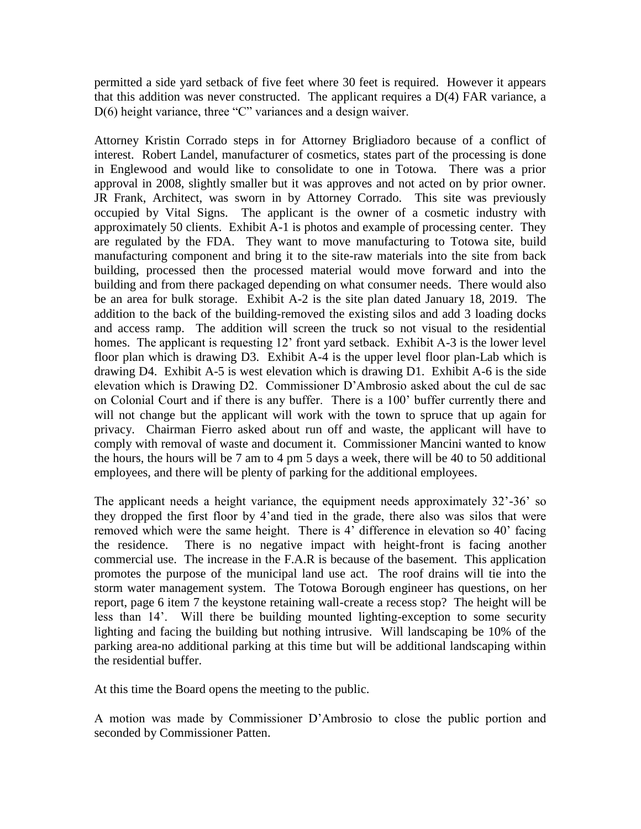permitted a side yard setback of five feet where 30 feet is required. However it appears that this addition was never constructed. The applicant requires a D(4) FAR variance, a D(6) height variance, three "C" variances and a design waiver.

Attorney Kristin Corrado steps in for Attorney Brigliadoro because of a conflict of interest. Robert Landel, manufacturer of cosmetics, states part of the processing is done in Englewood and would like to consolidate to one in Totowa. There was a prior approval in 2008, slightly smaller but it was approves and not acted on by prior owner. JR Frank, Architect, was sworn in by Attorney Corrado. This site was previously occupied by Vital Signs. The applicant is the owner of a cosmetic industry with approximately 50 clients. Exhibit A-1 is photos and example of processing center. They are regulated by the FDA. They want to move manufacturing to Totowa site, build manufacturing component and bring it to the site-raw materials into the site from back building, processed then the processed material would move forward and into the building and from there packaged depending on what consumer needs. There would also be an area for bulk storage. Exhibit A-2 is the site plan dated January 18, 2019. The addition to the back of the building-removed the existing silos and add 3 loading docks and access ramp. The addition will screen the truck so not visual to the residential homes. The applicant is requesting 12' front yard setback. Exhibit A-3 is the lower level floor plan which is drawing D3. Exhibit A-4 is the upper level floor plan-Lab which is drawing D4. Exhibit A-5 is west elevation which is drawing D1. Exhibit A-6 is the side elevation which is Drawing D2. Commissioner D'Ambrosio asked about the cul de sac on Colonial Court and if there is any buffer. There is a 100' buffer currently there and will not change but the applicant will work with the town to spruce that up again for privacy. Chairman Fierro asked about run off and waste, the applicant will have to comply with removal of waste and document it. Commissioner Mancini wanted to know the hours, the hours will be 7 am to 4 pm 5 days a week, there will be 40 to 50 additional employees, and there will be plenty of parking for the additional employees.

The applicant needs a height variance, the equipment needs approximately 32'-36' so they dropped the first floor by 4'and tied in the grade, there also was silos that were removed which were the same height. There is 4' difference in elevation so 40' facing the residence. There is no negative impact with height-front is facing another commercial use. The increase in the F.A.R is because of the basement. This application promotes the purpose of the municipal land use act. The roof drains will tie into the storm water management system. The Totowa Borough engineer has questions, on her report, page 6 item 7 the keystone retaining wall-create a recess stop? The height will be less than 14'. Will there be building mounted lighting-exception to some security lighting and facing the building but nothing intrusive. Will landscaping be 10% of the parking area-no additional parking at this time but will be additional landscaping within the residential buffer.

At this time the Board opens the meeting to the public.

A motion was made by Commissioner D'Ambrosio to close the public portion and seconded by Commissioner Patten.